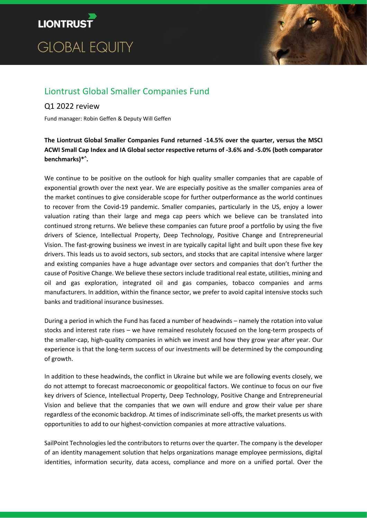



# Liontrust Global Smaller Companies Fund

# Q1 2022 review

Fund manager: Robin Geffen & Deputy Will Geffen

**The Liontrust Global Smaller Companies Fund returned -14.5% over the quarter, versus the MSCI ACWI Small Cap Index and IA Global sector respective returns of -3.6% and -5.0% (both comparator benchmarks)\* ^ .**

We continue to be positive on the outlook for high quality smaller companies that are capable of exponential growth over the next year. We are especially positive as the smaller companies area of the market continues to give considerable scope for further outperformance as the world continues to recover from the Covid-19 pandemic. Smaller companies, particularly in the US, enjoy a lower valuation rating than their large and mega cap peers which we believe can be translated into continued strong returns. We believe these companies can future proof a portfolio by using the five drivers of Science, Intellectual Property, Deep Technology, Positive Change and Entrepreneurial Vision. The fast-growing business we invest in are typically capital light and built upon these five key drivers. This leads us to avoid sectors, sub sectors, and stocks that are capital intensive where larger and existing companies have a huge advantage over sectors and companies that don't further the cause of Positive Change. We believe these sectors include traditional real estate, utilities, mining and oil and gas exploration, integrated oil and gas companies, tobacco companies and arms manufacturers. In addition, within the finance sector, we prefer to avoid capital intensive stocks such banks and traditional insurance businesses.

During a period in which the Fund has faced a number of headwinds – namely the rotation into value stocks and interest rate rises – we have remained resolutely focused on the long-term prospects of the smaller-cap, high-quality companies in which we invest and how they grow year after year. Our experience is that the long-term success of our investments will be determined by the compounding of growth.

In addition to these headwinds, the conflict in Ukraine but while we are following events closely, we do not attempt to forecast macroeconomic or geopolitical factors. We continue to focus on our five key drivers of Science, Intellectual Property, Deep Technology, Positive Change and Entrepreneurial Vision and believe that the companies that we own will endure and grow their value per share regardless of the economic backdrop. At times of indiscriminate sell-offs, the market presents us with opportunities to add to our highest-conviction companies at more attractive valuations.

SailPoint Technologies led the contributors to returns over the quarter. The company is the developer of an identity management solution that helps organizations manage employee permissions, digital identities, information security, data access, compliance and more on a unified portal. Over the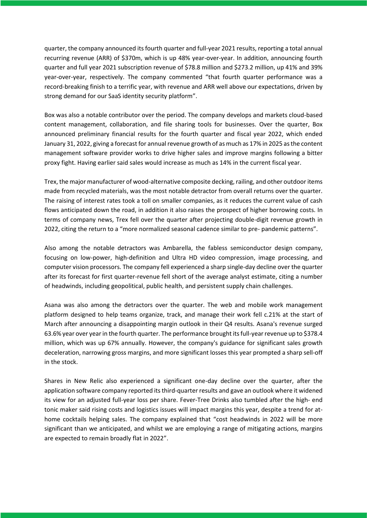quarter, the company announced its fourth quarter and full-year 2021 results, reporting a total annual recurring revenue (ARR) of \$370m, which is up 48% year-over-year. In addition, announcing fourth quarter and full year 2021 subscription revenue of \$78.8 million and \$273.2 million, up 41% and 39% year-over-year, respectively. The company commented "that fourth quarter performance was a record-breaking finish to a terrific year, with revenue and ARR well above our expectations, driven by strong demand for our SaaS identity security platform".

Box was also a notable contributor over the period. The company develops and markets cloud-based content management, collaboration, and file sharing tools for businesses. Over the quarter, Box announced preliminary financial results for the fourth quarter and fiscal year 2022, which ended January 31, 2022, giving a forecast for annual revenue growth of as much as 17% in 2025 as the content management software provider works to drive higher sales and improve margins following a bitter proxy fight. Having earlier said sales would increase as much as 14% in the current fiscal year.

Trex, the major manufacturer of wood-alternative composite decking, railing, and other outdoor items made from recycled materials, was the most notable detractor from overall returns over the quarter. The raising of interest rates took a toll on smaller companies, as it reduces the current value of cash flows anticipated down the road, in addition it also raises the prospect of higher borrowing costs. In terms of company news, Trex fell over the quarter after projecting double-digit revenue growth in 2022, citing the return to a "more normalized seasonal cadence similar to pre- pandemic patterns".

Also among the notable detractors was Ambarella, the fabless semiconductor design company, focusing on low-power, high-definition and Ultra HD video compression, image processing, and computer vision processors. The company fell experienced a sharp single-day decline over the quarter after its forecast for first quarter-revenue fell short of the average analyst estimate, citing a number of headwinds, including geopolitical, public health, and persistent supply chain challenges.

Asana was also among the detractors over the quarter. The web and mobile work management platform designed to help teams organize, track, and manage their work fell c.21% at the start of March after announcing a disappointing margin outlook in their Q4 results. Asana's revenue surged 63.6% year over year in the fourth quarter. The performance brought its full-year revenue up to \$378.4 million, which was up 67% annually. However, the company's guidance for significant sales growth deceleration, narrowing gross margins, and more significant losses this year prompted a sharp sell-off in the stock.

Shares in New Relic also experienced a significant one-day decline over the quarter, after the application software company reported its third-quarter results and gave an outlook where it widened its view for an adjusted full-year loss per share. Fever-Tree Drinks also tumbled after the high- end tonic maker said rising costs and logistics issues will impact margins this year, despite a trend for athome cocktails helping sales. The company explained that "cost headwinds in 2022 will be more significant than we anticipated, and whilst we are employing a range of mitigating actions, margins are expected to remain broadly flat in 2022".